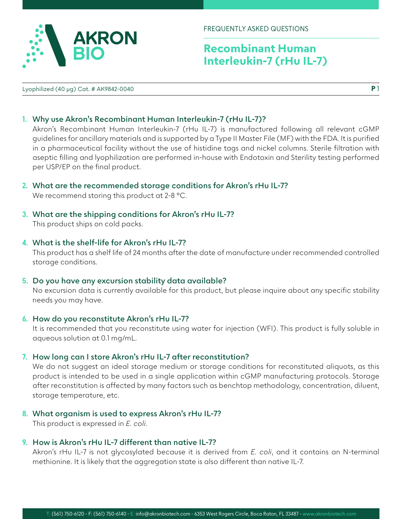

# **Recombinant Human Interleukin-7 (rHu IL-7)**

Lyophilized (40 µg) Cat. # AK9842-0040

**P** 1

## **1. Why use Akron's Recombinant Human Interleukin-7 (rHu IL-7)?**

Akron's Recombinant Human Interleukin-7 (rHu IL-7) is manufactured following all relevant cGMP guidelines for ancillary materials and is supported by a Type II Master File (MF) with the FDA. It is purified in a pharmaceutical facility without the use of histidine tags and nickel columns. Sterile filtration with aseptic filling and lyophilization are performed in-house with Endotoxin and Sterility testing performed per USP/EP on the final product.

**2. What are the recommended storage conditions for Akron's rHu IL-7?**

We recommend storing this product at 2-8 °C.

**3. What are the shipping conditions for Akron's rHu IL-7?** This product ships on cold packs.

### **4. What is the shelf-life for Akron's rHu IL-7?**

This product has a shelf life of 24 months after the date of manufacture under recommended controlled storage conditions.

**5. Do you have any excursion stability data available?** No excursion data is currently available for this product, but please inquire about any specific stability needs you may have.

#### **6. How do you reconstitute Akron's rHu IL-7?**

It is recommended that you reconstitute using water for injection (WFI). This product is fully soluble in aqueous solution at 0.1 mg/mL.

#### **7. How long can I store Akron's rHu IL-7 after reconstitution?**

We do not suggest an ideal storage medium or storage conditions for reconstituted aliquots, as this product is intended to be used in a single application within cGMP manufacturing protocols. Storage after reconstitution is affected by many factors such as benchtop methodology, concentration, diluent, storage temperature, etc.

#### **8. What organism is used to express Akron's rHu IL-7?**

This product is expressed in *E. coli*.

## **9. How is Akron's rHu IL-7 different than native IL-7?**

Akron's rHu IL-7 is not glycosylated because it is derived from *E. coli*, and it contains an N-terminal methionine. It is likely that the aggregation state is also different than native IL-7.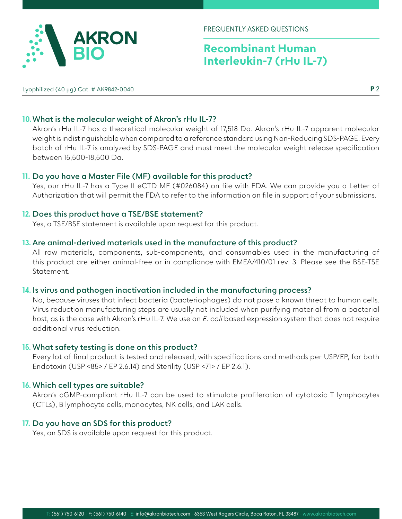

FREQUENTLY ASKED QUESTIONS

# **Recombinant Human Interleukin-7 (rHu IL-7)**

Lyophilized (40 µg) Cat. # AK9842-0040

**P** 2

## **10.What is the molecular weight of Akron's rHu IL-7?**

Akron's rHu IL-7 has a theoretical molecular weight of 17,518 Da. Akron's rHu IL-7 apparent molecular weight is indistinguishable when compared to a reference standard using Non-Reducing SDS-PAGE. Every batch of rHu IL-7 is analyzed by SDS-PAGE and must meet the molecular weight release specification between 15,500-18,500 Da.

#### **11. Do you have a Master File (MF) available for this product?**

Yes, our rHu IL-7 has a Type II eCTD MF (#026084) on file with FDA. We can provide you a Letter of Authorization that will permit the FDA to refer to the information on file in support of your submissions.

#### **12. Does this product have a TSE/BSE statement?**

Yes, a TSE/BSE statement is available upon request for this product.

### **13. Are animal-derived materials used in the manufacture of this product?**

All raw materials, components, sub-components, and consumables used in the manufacturing of this product are either animal-free or in compliance with EMEA/410/01 rev. 3. Please see the BSE-TSE Statement.

#### **14. Is virus and pathogen inactivation included in the manufacturing process?**

No, because viruses that infect bacteria (bacteriophages) do not pose a known threat to human cells. Virus reduction manufacturing steps are usually not included when purifying material from a bacterial host, as is the case with Akron's rHu IL-7. We use an *E. coli* based expression system that does not require additional virus reduction.

#### **15. What safety testing is done on this product?**

Every lot of final product is tested and released, with specifications and methods per USP/EP, for both Endotoxin (USP <85> / EP 2.6.14) and Sterility (USP <71> / EP 2.6.1).

#### **16. Which cell types are suitable?**

Akron's cGMP-compliant rHu IL-7 can be used to stimulate proliferation of cytotoxic T lymphocytes (CTLs), B lymphocyte cells, monocytes, NK cells, and LAK cells.

#### **17. Do you have an SDS for this product?**

Yes, an SDS is available upon request for this product.